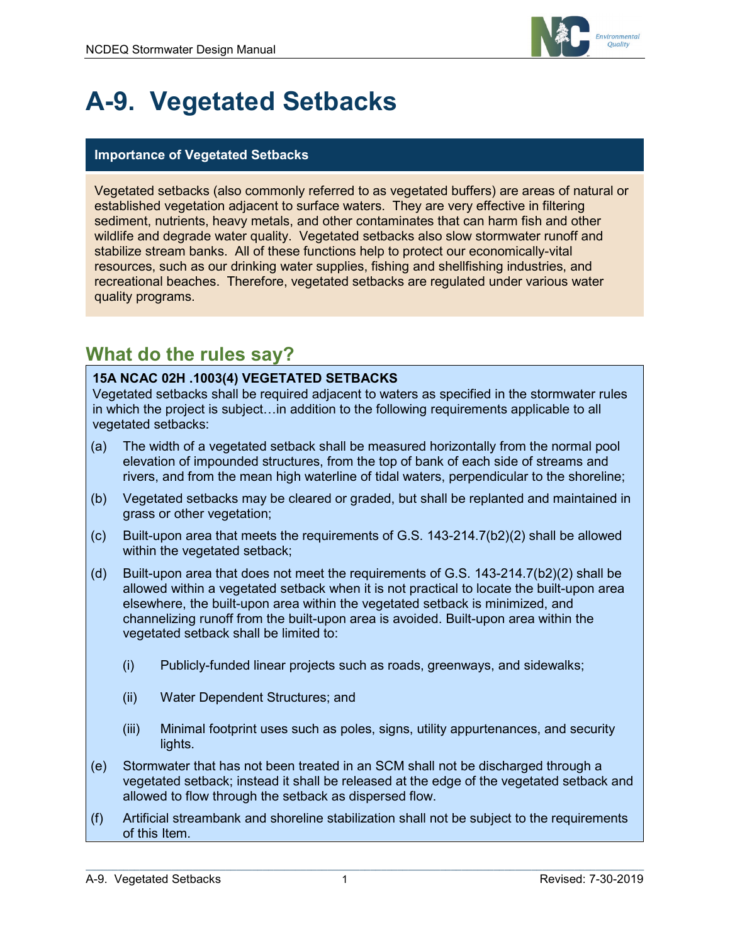

# **A-9. Vegetated Setbacks**

#### **Importance of Vegetated Setbacks**

Vegetated setbacks (also commonly referred to as vegetated buffers) are areas of natural or established vegetation adjacent to surface waters. They are very effective in filtering sediment, nutrients, heavy metals, and other contaminates that can harm fish and other wildlife and degrade water quality. Vegetated setbacks also slow stormwater runoff and stabilize stream banks. All of these functions help to protect our economically-vital resources, such as our drinking water supplies, fishing and shellfishing industries, and recreational beaches. Therefore, vegetated setbacks are regulated under various water quality programs.

## **What do the rules say?**

#### **15A NCAC 02H .1003(4) VEGETATED SETBACKS**

Vegetated setbacks shall be required adjacent to waters as specified in the stormwater rules in which the project is subject…in addition to the following requirements applicable to all vegetated setbacks:

- (a) The width of a vegetated setback shall be measured horizontally from the normal pool elevation of impounded structures, from the top of bank of each side of streams and rivers, and from the mean high waterline of tidal waters, perpendicular to the shoreline;
- (b) Vegetated setbacks may be cleared or graded, but shall be replanted and maintained in grass or other vegetation;
- (c) Built-upon area that meets the requirements of G.S. 143-214.7(b2)(2) shall be allowed within the vegetated setback;
- (d) Built-upon area that does not meet the requirements of G.S. 143-214.7(b2)(2) shall be allowed within a vegetated setback when it is not practical to locate the built-upon area elsewhere, the built-upon area within the vegetated setback is minimized, and channelizing runoff from the built-upon area is avoided. Built-upon area within the vegetated setback shall be limited to:
	- (i) Publicly-funded linear projects such as roads, greenways, and sidewalks;
	- (ii) Water Dependent Structures; and
	- (iii) Minimal footprint uses such as poles, signs, utility appurtenances, and security lights.
- (e) Stormwater that has not been treated in an SCM shall not be discharged through a vegetated setback; instead it shall be released at the edge of the vegetated setback and allowed to flow through the setback as dispersed flow.
- (f) Artificial streambank and shoreline stabilization shall not be subject to the requirements of this Item.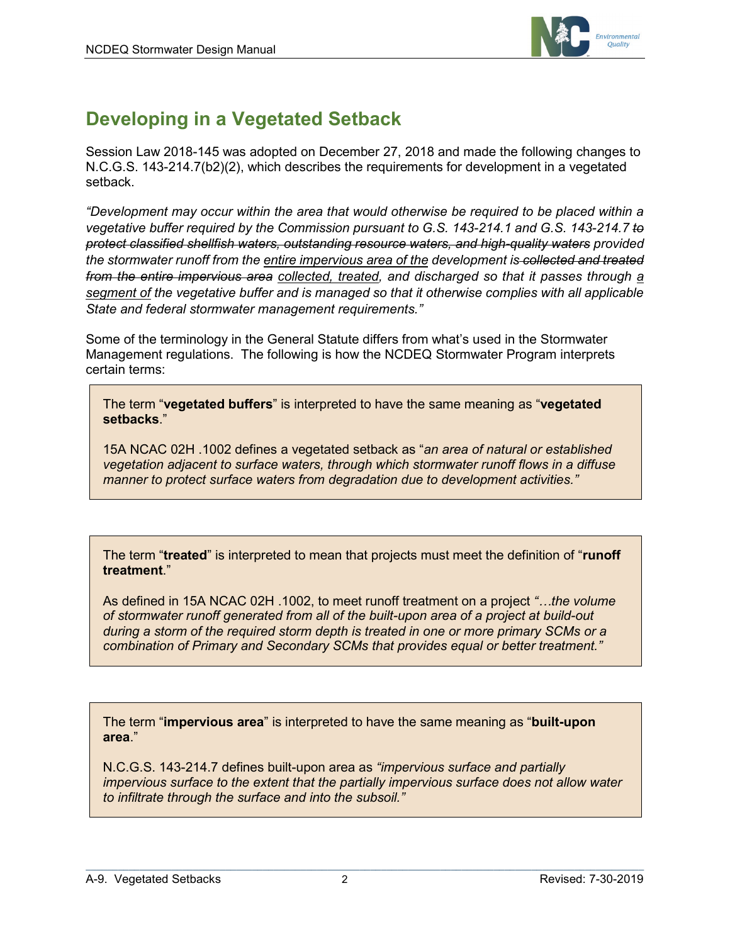

## **Developing in a Vegetated Setback**

Session Law 2018-145 was adopted on December 27, 2018 and made the following changes to N.C.G.S. 143-214.7(b2)(2), which describes the requirements for development in a vegetated setback.

*"Development may occur within the area that would otherwise be required to be placed within a vegetative buffer required by the Commission pursuant to G.S. 143-214.1 and G.S. 143-214.7 to protect classified shellfish waters, outstanding resource waters, and high-quality waters provided the stormwater runoff from the entire impervious area of the development is collected and treated from the entire impervious area collected, treated, and discharged so that it passes through a segment of the vegetative buffer and is managed so that it otherwise complies with all applicable State and federal stormwater management requirements."*

Some of the terminology in the General Statute differs from what's used in the Stormwater Management regulations. The following is how the NCDEQ Stormwater Program interprets certain terms:

The term "**vegetated buffers**" is interpreted to have the same meaning as "**vegetated setbacks**."

15A NCAC 02H .1002 defines a vegetated setback as "*an area of natural or established vegetation adjacent to surface waters, through which stormwater runoff flows in a diffuse manner to protect surface waters from degradation due to development activities."*

The term "**treated**" is interpreted to mean that projects must meet the definition of "**runoff treatment**."

As defined in 15A NCAC 02H .1002, to meet runoff treatment on a project *"…the volume of stormwater runoff generated from all of the built-upon area of a project at build-out during a storm of the required storm depth is treated in one or more primary SCMs or a combination of Primary and Secondary SCMs that provides equal or better treatment."*

The term "**impervious area**" is interpreted to have the same meaning as "**built-upon area**."

N.C.G.S. 143-214.7 defines built-upon area as *"impervious surface and partially impervious surface to the extent that the partially impervious surface does not allow water to infiltrate through the surface and into the subsoil."*